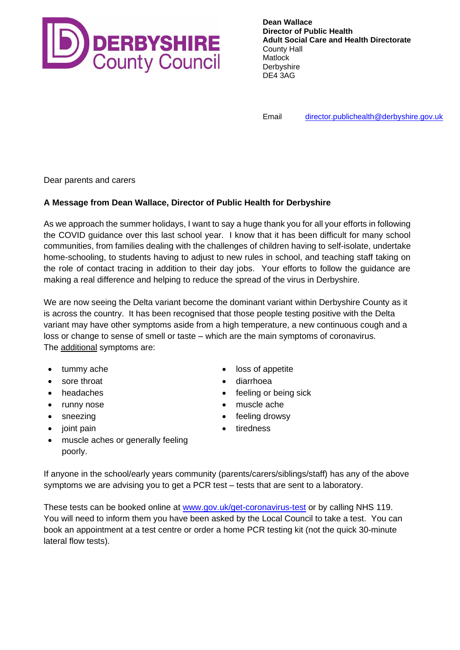

**Dean Wallace Director of Public Health Adult Social Care and Health Directorate** County Hall Matlock **Derbyshire** DE4 3AG

Email [director.publichealth@derbyshire.gov.uk](mailto:director.publichealth@derbyshire.gov.uk)

Dear parents and carers

## **A Message from Dean Wallace, Director of Public Health for Derbyshire**

As we approach the summer holidays, I want to say a huge thank you for all your efforts in following the COVID guidance over this last school year. I know that it has been difficult for many school communities, from families dealing with the challenges of children having to self-isolate, undertake home-schooling, to students having to adjust to new rules in school, and teaching staff taking on the role of contact tracing in addition to their day jobs. Your efforts to follow the guidance are making a real difference and helping to reduce the spread of the virus in Derbyshire.

We are now seeing the Delta variant become the dominant variant within Derbyshire County as it is across the country. It has been recognised that those people testing positive with the Delta variant may have other symptoms aside from a high temperature, a new continuous cough and a loss or change to sense of smell or taste – which are the main symptoms of coronavirus. The additional symptoms are:

- tummy ache
- sore throat
- headaches
- runny nose
- sneezing
- joint pain
- loss of appetite
- diarrhoea
- feeling or being sick
- muscle ache
- feeling drowsy
- tiredness
- muscle aches or generally feeling poorly.

If anyone in the school/early years community (parents/carers/siblings/staff) has any of the above symptoms we are advising you to get a PCR test – tests that are sent to a laboratory.

These tests can be booked online at [www.gov.uk/get-coronavirus-test](http://www.gov.uk/get-coronavirus-test) or by calling NHS 119. You will need to inform them you have been asked by the Local Council to take a test. You can book an appointment at a test centre or order a home PCR testing kit (not the quick 30-minute lateral flow tests).